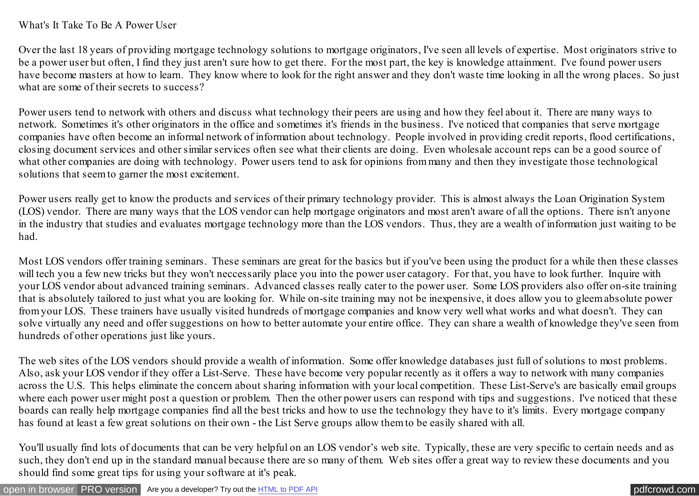## What's It Take To Be A Power User

Over the last 18 years of providing mortgage technology solutions to mortgage originators, I've seen all levels of expertise. Most originators strive to be a power user but often, I find they just aren't sure how to get there. For the most part, the key is knowledge attainment. I've found power users have become masters at how to learn. They know where to look for the right answer and they don't waste time looking in all the wrong places. So just what are some of their secrets to success?

Power users tend to network with others and discuss what technology their peers are using and how they feel about it. There are many ways to network. Sometimes it's other originators in the office and sometimes it's friends in the business. I've noticed that companies that serve mortgage companies have often become an informal network of information about technology. People involved in providing credit reports, flood certifications, closing document services and other similar services often see what their clients are doing. Even wholesale account reps can be a good source of what other companies are doing with technology. Power users tend to ask for opinions from many and then they investigate those technological solutions that seem to garner the most excitement.

Power users really get to know the products and services of their primary technology provider. This is almost always the Loan Origination System (LOS) vendor. There are many ways that the LOS vendor can help mortgage originators and most aren't aware of all the options. There isn't anyone in the industry that studies and evaluates mortgage technology more than the LOS vendors. Thus, they are a wealth of information just waiting to be had.

Most LOS vendors offer training seminars. These seminars are great for the basics but if you've been using the product for a while then these classes will tech you a few new tricks but they won't neccessarily place you into the power user catagory. For that, you have to look further. Inquire with your LOS vendor about advanced training seminars. Advanced classes really cater to the power user. Some LOS providers also offer on-site training that is absolutely tailored to just what you are looking for. While on-site training may not be inexpensive, it does allow you to gleem absolute power from your LOS. These trainers have usually visited hundreds of mortgage companies and know very well what works and what doesn't. They can solve virtually any need and offer suggestions on how to better automate your entire office. They can share a wealth of knowledge they've seen from hundreds of other operations just like yours.

The web sites of the LOS vendors should provide a wealth of information. Some offer knowledge databases just full of solutions to most problems. Also, ask your LOS vendor if they offer a List-Serve. These have become very popular recently as it offers a way to network with many companies across the U.S. This helps eliminate the concern about sharing information with your local competition. These List-Serve's are basically email groups where each power user might post a question or problem. Then the other power users can respond with tips and suggestions. I've noticed that these boards can really help mortgage companies find all the best tricks and how to use the technology they have to it's limits. Every mortgage company has found at least a few great solutions on their own - the List Serve groups allow them to be easily shared with all.

You'll usually find lots of documents that can be very helpful on an LOS vendor's web site. Typically, these are very specific to certain needs and as such, they don't end up in the standard manual because there are so many of them. Web sites offer a great way to review these documents and you should find some great tips for using your software at it's peak.